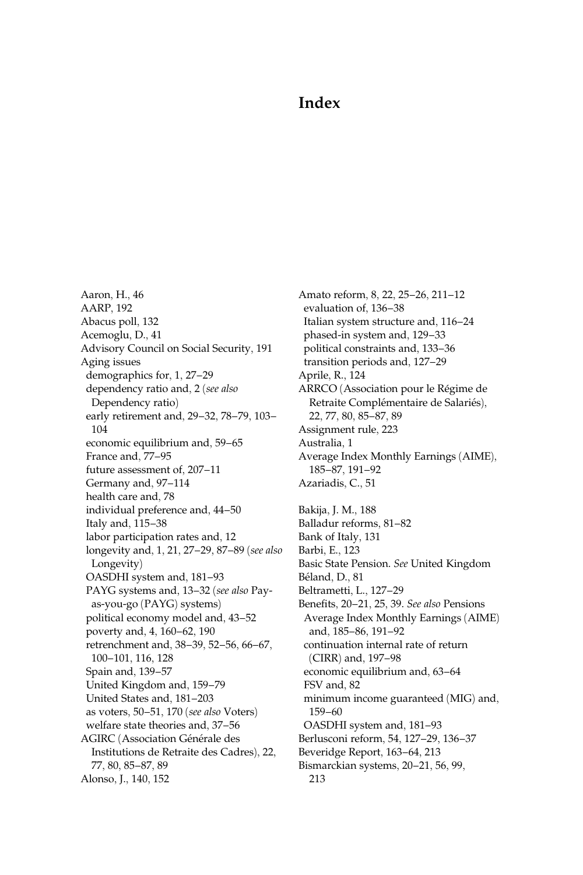## Index

Aaron, H., 46 AARP, 192 Abacus poll, 132 Acemoglu, D., 41 Advisory Council on Social Security, 191 Aging issues demographics for, 1, 27–29 dependency ratio and, 2 (see also Dependency ratio) early retirement and, 29–32, 78–79, 103– 104 economic equilibrium and, 59–65 France and, 77–95 future assessment of, 207–11 Germany and, 97–114 health care and, 78 individual preference and, 44–50 Italy and, 115–38 labor participation rates and, 12 longevity and, 1, 21, 27–29, 87–89 (see also Longevity) OASDHI system and, 181–93 PAYG systems and, 13-32 (see also Payas-you-go (PAYG) systems) political economy model and, 43–52 poverty and, 4, 160–62, 190 retrenchment and, 38–39, 52–56, 66–67, 100–101, 116, 128 Spain and, 139–57 United Kingdom and, 159–79 United States and, 181–203 as voters, 50–51, 170 (see also Voters) welfare state theories and, 37–56 AGIRC (Association Générale des Institutions de Retraite des Cadres), 22, 77, 80, 85–87, 89 Alonso, J., 140, 152

Amato reform, 8, 22, 25–26, 211–12 evaluation of, 136–38 Italian system structure and, 116–24 phased-in system and, 129–33 political constraints and, 133–36 transition periods and, 127–29 Aprile, R., 124 ARRCO (Association pour le Régime de Retraite Complémentaire de Salariés), 22, 77, 80, 85–87, 89 Assignment rule, 223 Australia, 1 Average Index Monthly Earnings (AIME), 185–87, 191–92 Azariadis, C., 51 Bakija, J. M., 188 Balladur reforms, 81–82 Bank of Italy, 131 Barbi, E., 123 Basic State Pension. See United Kingdom Béland, D., 81 Beltrametti, L., 127–29 Benefits, 20–21, 25, 39. See also Pensions Average Index Monthly Earnings (AIME) and, 185–86, 191–92 continuation internal rate of return (CIRR) and, 197–98 economic equilibrium and, 63–64 FSV and, 82 minimum income guaranteed (MIG) and, 159–60 OASDHI system and, 181–93 Berlusconi reform, 54, 127–29, 136–37 Beveridge Report, 163–64, 213 Bismarckian systems, 20–21, 56, 99, 213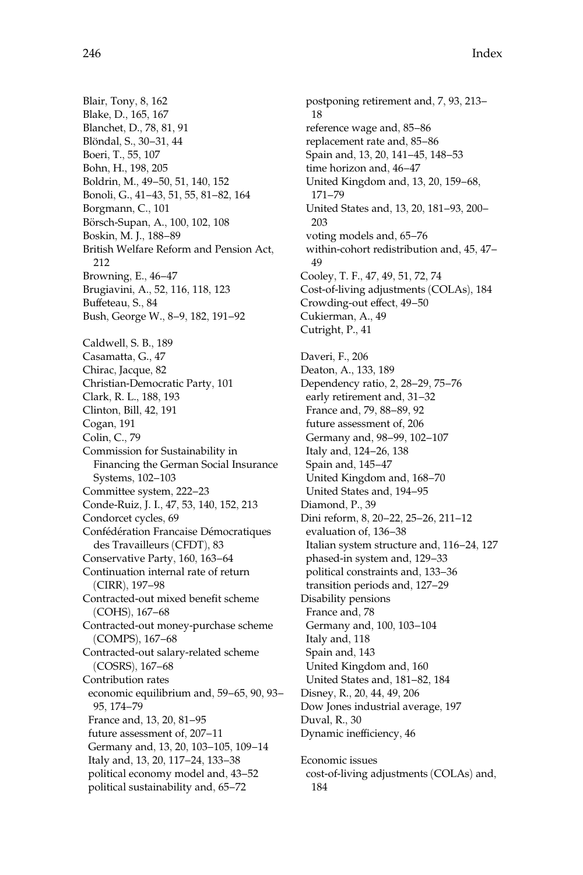Blair, Tony, 8, 162 Blake, D., 165, 167 Blanchet, D., 78, 81, 91 Blöndal, S., 30-31, 44 Boeri, T., 55, 107 Bohn, H., 198, 205 Boldrin, M., 49–50, 51, 140, 152 Bonoli, G., 41–43, 51, 55, 81–82, 164 Borgmann, C., 101 Börsch-Supan, A., 100, 102, 108 Boskin, M. J., 188–89 British Welfare Reform and Pension Act, 212 Browning, E., 46–47 Brugiavini, A., 52, 116, 118, 123 Buffeteau, S., 84 Bush, George W., 8–9, 182, 191–92 Caldwell, S. B., 189 Casamatta, G., 47 Chirac, Jacque, 82 Christian-Democratic Party, 101 Clark, R. L., 188, 193 Clinton, Bill, 42, 191 Cogan, 191 Colin, C., 79 Commission for Sustainability in Financing the German Social Insurance Systems, 102–103 Committee system, 222–23 Conde-Ruiz, J. I., 47, 53, 140, 152, 213 Condorcet cycles, 69 Confédération Francaise Démocratiques des Travailleurs (CFDT), 83 Conservative Party, 160, 163–64 Continuation internal rate of return (CIRR), 197–98 Contracted-out mixed benefit scheme (COHS), 167–68 Contracted-out money-purchase scheme (COMPS), 167–68 Contracted-out salary-related scheme (COSRS), 167–68 Contribution rates economic equilibrium and, 59–65, 90, 93– 95, 174–79 France and, 13, 20, 81–95 future assessment of, 207–11 Germany and, 13, 20, 103–105, 109–14 Italy and, 13, 20, 117–24, 133–38 political economy model and, 43–52 political sustainability and, 65–72

postponing retirement and, 7, 93, 213– 18 reference wage and, 85–86 replacement rate and, 85–86 Spain and, 13, 20, 141–45, 148–53 time horizon and, 46–47 United Kingdom and, 13, 20, 159–68, 171–79 United States and, 13, 20, 181–93, 200– 203 voting models and, 65–76 within-cohort redistribution and, 45, 47– 49 Cooley, T. F., 47, 49, 51, 72, 74 Cost-of-living adjustments (COLAs), 184 Crowding-out effect, 49–50 Cukierman, A., 49 Cutright, P., 41 Daveri, F., 206 Deaton, A., 133, 189 Dependency ratio, 2, 28–29, 75–76 early retirement and, 31–32 France and, 79, 88–89, 92 future assessment of, 206 Germany and, 98–99, 102–107 Italy and, 124–26, 138 Spain and, 145–47 United Kingdom and, 168–70 United States and, 194–95 Diamond, P., 39 Dini reform, 8, 20–22, 25–26, 211–12 evaluation of, 136–38 Italian system structure and, 116–24, 127 phased-in system and, 129–33 political constraints and, 133–36 transition periods and, 127–29 Disability pensions France and, 78 Germany and, 100, 103–104 Italy and, 118 Spain and, 143 United Kingdom and, 160 United States and, 181–82, 184 Disney, R., 20, 44, 49, 206 Dow Jones industrial average, 197 Duval, R., 30 Dynamic inefficiency, 46 Economic issues cost-of-living adjustments (COLAs) and, 184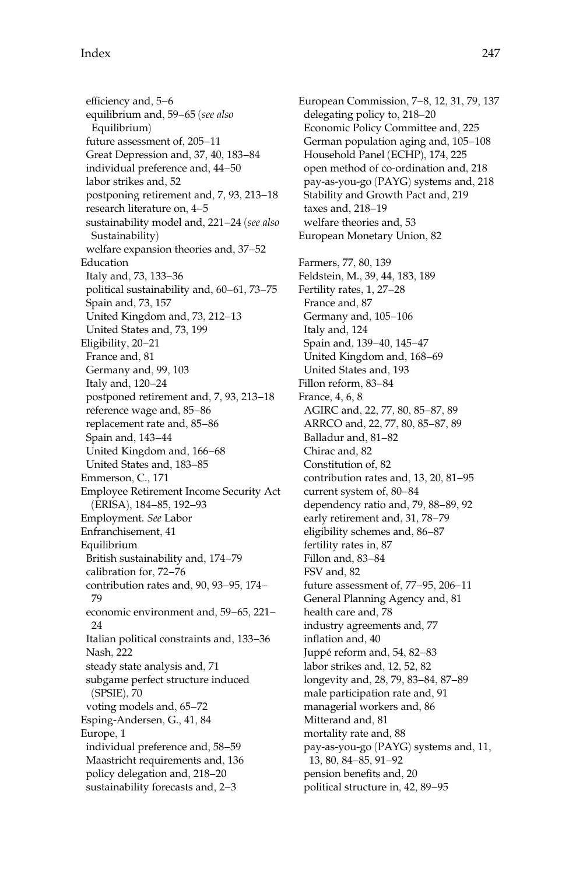efficiency and, 5–6 equilibrium and, 59–65 (see also Equilibrium) future assessment of, 205–11 Great Depression and, 37, 40, 183–84 individual preference and, 44–50 labor strikes and, 52 postponing retirement and, 7, 93, 213–18 research literature on, 4–5 sustainability model and, 221-24 (see also Sustainability) welfare expansion theories and, 37–52 Education Italy and, 73, 133–36 political sustainability and, 60–61, 73–75 Spain and, 73, 157 United Kingdom and, 73, 212–13 United States and, 73, 199 Eligibility, 20–21 France and, 81 Germany and, 99, 103 Italy and, 120–24 postponed retirement and, 7, 93, 213–18 reference wage and, 85–86 replacement rate and, 85–86 Spain and, 143–44 United Kingdom and, 166–68 United States and, 183–85 Emmerson, C., 171 Employee Retirement Income Security Act (ERISA), 184–85, 192–93 Employment. See Labor Enfranchisement, 41 Equilibrium British sustainability and, 174–79 calibration for, 72–76 contribution rates and, 90, 93–95, 174– 79 economic environment and, 59–65, 221– 24 Italian political constraints and, 133–36 Nash, 222 steady state analysis and, 71 subgame perfect structure induced (SPSIE), 70 voting models and, 65–72 Esping-Andersen, G., 41, 84 Europe, 1 individual preference and, 58–59 Maastricht requirements and, 136 policy delegation and, 218–20 sustainability forecasts and, 2–3

European Commission, 7–8, 12, 31, 79, 137 delegating policy to, 218–20 Economic Policy Committee and, 225 German population aging and, 105–108 Household Panel (ECHP), 174, 225 open method of co-ordination and, 218 pay-as-you-go (PAYG) systems and, 218 Stability and Growth Pact and, 219 taxes and, 218–19 welfare theories and, 53 European Monetary Union, 82 Farmers, 77, 80, 139 Feldstein, M., 39, 44, 183, 189 Fertility rates, 1, 27–28 France and, 87 Germany and, 105–106 Italy and, 124 Spain and, 139–40, 145–47 United Kingdom and, 168–69 United States and, 193 Fillon reform, 83–84 France, 4, 6, 8 AGIRC and, 22, 77, 80, 85–87, 89 ARRCO and, 22, 77, 80, 85–87, 89 Balladur and, 81–82 Chirac and, 82 Constitution of, 82 contribution rates and, 13, 20, 81–95 current system of, 80–84 dependency ratio and, 79, 88–89, 92 early retirement and, 31, 78–79 eligibility schemes and, 86–87 fertility rates in, 87 Fillon and, 83–84 FSV and, 82 future assessment of, 77–95, 206–11 General Planning Agency and, 81 health care and, 78 industry agreements and, 77 inflation and, 40 Juppé reform and, 54, 82-83 labor strikes and, 12, 52, 82 longevity and, 28, 79, 83–84, 87–89 male participation rate and, 91 managerial workers and, 86 Mitterand and, 81 mortality rate and, 88 pay-as-you-go (PAYG) systems and, 11, 13, 80, 84–85, 91–92 pension benefits and, 20 political structure in, 42, 89–95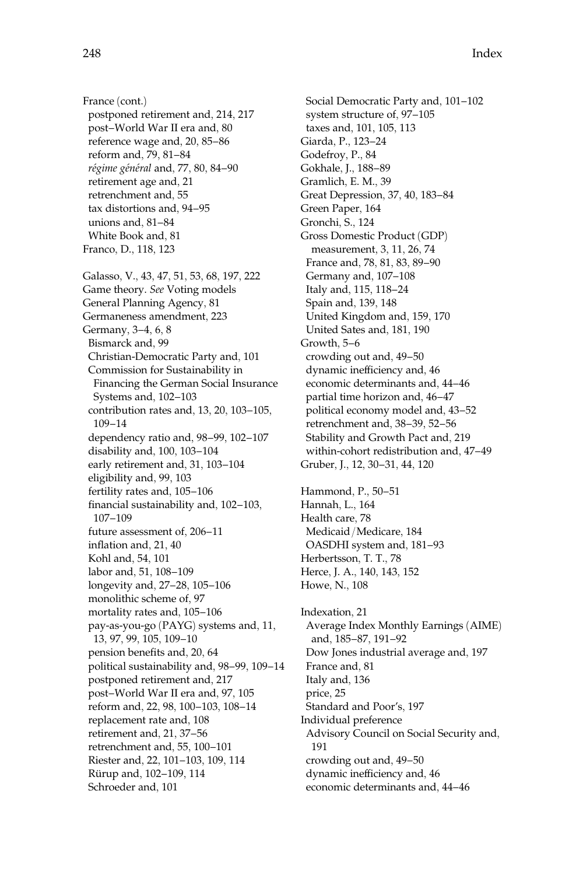France (cont.) postponed retirement and, 214, 217 post–World War II era and, 80 reference wage and, 20, 85–86 reform and, 79, 81–84 régime général and, 77, 80, 84-90 retirement age and, 21 retrenchment and, 55 tax distortions and, 94–95 unions and, 81–84 White Book and, 81 Franco, D., 118, 123 Galasso, V., 43, 47, 51, 53, 68, 197, 222 Game theory. See Voting models General Planning Agency, 81 Germaneness amendment, 223 Germany, 3–4, 6, 8 Bismarck and, 99 Christian-Democratic Party and, 101 Commission for Sustainability in Financing the German Social Insurance Systems and, 102–103 contribution rates and, 13, 20, 103–105, 109–14 dependency ratio and, 98–99, 102–107 disability and, 100, 103–104 early retirement and, 31, 103–104 eligibility and, 99, 103 fertility rates and, 105–106 financial sustainability and, 102–103, 107–109 future assessment of, 206–11 inflation and, 21, 40 Kohl and, 54, 101 labor and, 51, 108–109 longevity and, 27–28, 105–106 monolithic scheme of, 97 mortality rates and, 105–106 pay-as-you-go (PAYG) systems and, 11, 13, 97, 99, 105, 109–10 pension benefits and, 20, 64 political sustainability and, 98–99, 109–14 postponed retirement and, 217 post–World War II era and, 97, 105 reform and, 22, 98, 100–103, 108–14 replacement rate and, 108 retirement and, 21, 37–56 retrenchment and, 55, 100–101 Riester and, 22, 101–103, 109, 114 Rürup and, 102–109, 114 Schroeder and, 101

Social Democratic Party and, 101–102 system structure of, 97–105 taxes and, 101, 105, 113 Giarda, P., 123–24 Godefroy, P., 84 Gokhale, J., 188–89 Gramlich, E. M., 39 Great Depression, 37, 40, 183–84 Green Paper, 164 Gronchi, S., 124 Gross Domestic Product (GDP) measurement, 3, 11, 26, 74 France and, 78, 81, 83, 89–90 Germany and, 107–108 Italy and, 115, 118–24 Spain and, 139, 148 United Kingdom and, 159, 170 United Sates and, 181, 190 Growth, 5–6 crowding out and, 49–50 dynamic inefficiency and, 46 economic determinants and, 44–46 partial time horizon and, 46–47 political economy model and, 43–52 retrenchment and, 38–39, 52–56 Stability and Growth Pact and, 219 within-cohort redistribution and, 47–49 Gruber, J., 12, 30–31, 44, 120 Hammond, P., 50–51 Hannah, L., 164 Health care, 78 Medicaid/Medicare, 184 OASDHI system and, 181–93 Herbertsson, T. T., 78 Herce, J. A., 140, 143, 152 Howe, N., 108 Indexation, 21

Average Index Monthly Earnings (AIME) and, 185–87, 191–92 Dow Jones industrial average and, 197 France and, 81 Italy and, 136 price, 25 Standard and Poor's, 197 Individual preference Advisory Council on Social Security and, 191 crowding out and, 49–50 dynamic inefficiency and, 46 economic determinants and, 44–46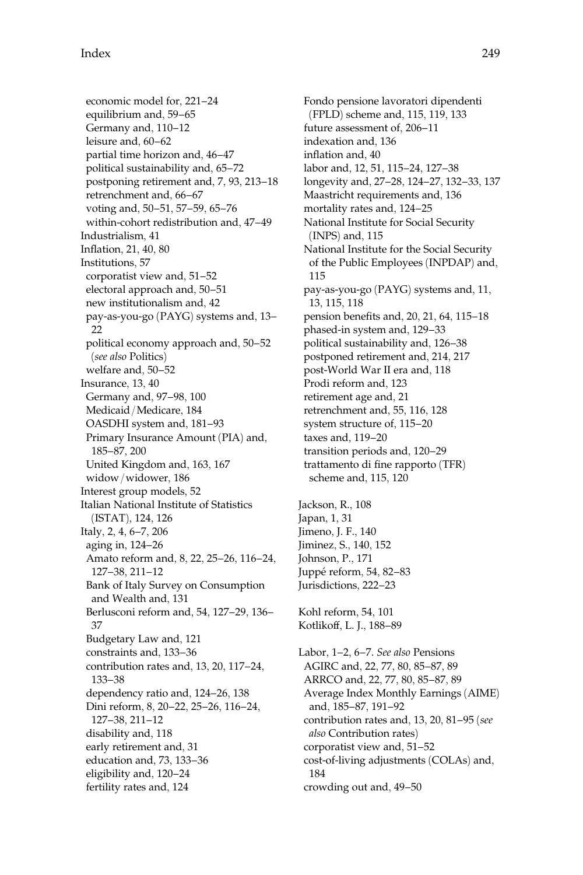economic model for, 221–24 equilibrium and, 59–65 Germany and, 110–12 leisure and, 60–62 partial time horizon and, 46–47 political sustainability and, 65–72 postponing retirement and, 7, 93, 213–18 retrenchment and, 66–67 voting and, 50–51, 57–59, 65–76 within-cohort redistribution and, 47–49 Industrialism, 41 Inflation, 21, 40, 80 Institutions, 57 corporatist view and, 51–52 electoral approach and, 50–51 new institutionalism and, 42 pay-as-you-go (PAYG) systems and, 13– 22 political economy approach and, 50–52 (see also Politics) welfare and, 50–52 Insurance, 13, 40 Germany and, 97–98, 100 Medicaid/Medicare, 184 OASDHI system and, 181–93 Primary Insurance Amount (PIA) and, 185–87, 200 United Kingdom and, 163, 167 widow/widower, 186 Interest group models, 52 Italian National Institute of Statistics (ISTAT), 124, 126 Italy, 2, 4, 6–7, 206 aging in, 124–26 Amato reform and, 8, 22, 25–26, 116–24, 127–38, 211–12 Bank of Italy Survey on Consumption and Wealth and, 131 Berlusconi reform and, 54, 127–29, 136– 37 Budgetary Law and, 121 constraints and, 133–36 contribution rates and, 13, 20, 117–24, 133–38 dependency ratio and, 124–26, 138 Dini reform, 8, 20–22, 25–26, 116–24, 127–38, 211–12 disability and, 118 early retirement and, 31 education and, 73, 133–36 eligibility and, 120–24 fertility rates and, 124

Fondo pensione lavoratori dipendenti (FPLD) scheme and, 115, 119, 133 future assessment of, 206–11 indexation and, 136 inflation and, 40 labor and, 12, 51, 115–24, 127–38 longevity and, 27–28, 124–27, 132–33, 137 Maastricht requirements and, 136 mortality rates and, 124–25 National Institute for Social Security (INPS) and, 115 National Institute for the Social Security of the Public Employees (INPDAP) and, 115 pay-as-you-go (PAYG) systems and, 11, 13, 115, 118 pension benefits and, 20, 21, 64, 115–18 phased-in system and, 129–33 political sustainability and, 126–38 postponed retirement and, 214, 217 post-World War II era and, 118 Prodi reform and, 123 retirement age and, 21 retrenchment and, 55, 116, 128 system structure of, 115–20 taxes and, 119–20 transition periods and, 120–29 trattamento di fine rapporto (TFR) scheme and, 115, 120 Jackson, R., 108 Japan, 1, 31 Jimeno, J. F., 140 Jiminez, S., 140, 152 Johnson, P., 171 Juppé reform, 54, 82–83 Jurisdictions, 222–23 Kohl reform, 54, 101 Kotlikoff, L. J., 188–89 Labor, 1–2, 6–7. See also Pensions AGIRC and, 22, 77, 80, 85–87, 89 ARRCO and, 22, 77, 80, 85–87, 89 Average Index Monthly Earnings (AIME) and, 185–87, 191–92 contribution rates and, 13, 20, 81–95 (see also Contribution rates) corporatist view and, 51–52

cost-of-living adjustments (COLAs) and,

crowding out and, 49–50

184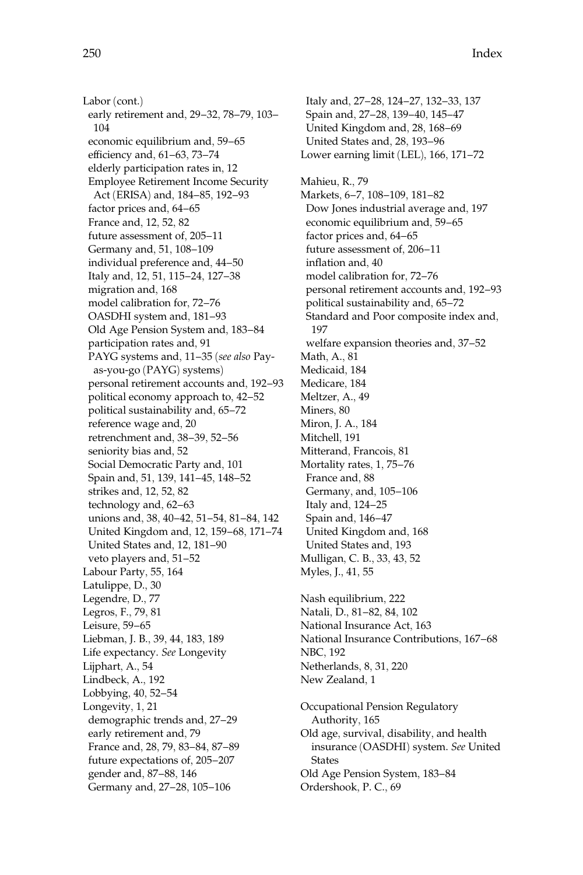250 Index

Labor (cont.) early retirement and, 29–32, 78–79, 103– 104 economic equilibrium and, 59–65 efficiency and, 61–63, 73–74 elderly participation rates in, 12 Employee Retirement Income Security Act (ERISA) and, 184–85, 192–93 factor prices and, 64–65 France and, 12, 52, 82 future assessment of, 205–11 Germany and, 51, 108–109 individual preference and, 44–50 Italy and, 12, 51, 115–24, 127–38 migration and, 168 model calibration for, 72–76 OASDHI system and, 181–93 Old Age Pension System and, 183–84 participation rates and, 91 PAYG systems and, 11–35 (see also Payas-you-go (PAYG) systems) personal retirement accounts and, 192–93 political economy approach to, 42–52 political sustainability and, 65–72 reference wage and, 20 retrenchment and, 38–39, 52–56 seniority bias and, 52 Social Democratic Party and, 101 Spain and, 51, 139, 141–45, 148–52 strikes and, 12, 52, 82 technology and, 62–63 unions and, 38, 40–42, 51–54, 81–84, 142 United Kingdom and, 12, 159–68, 171–74 United States and, 12, 181–90 veto players and, 51–52 Labour Party, 55, 164 Latulippe, D., 30 Legendre, D., 77 Legros, F., 79, 81 Leisure, 59–65 Liebman, J. B., 39, 44, 183, 189 Life expectancy. See Longevity Lijphart, A., 54 Lindbeck, A., 192 Lobbying, 40, 52–54 Longevity, 1, 21 demographic trends and, 27–29 early retirement and, 79 France and, 28, 79, 83–84, 87–89 future expectations of, 205–207 gender and, 87–88, 146 Germany and, 27–28, 105–106

Italy and, 27–28, 124–27, 132–33, 137 Spain and, 27–28, 139–40, 145–47 United Kingdom and, 28, 168–69 United States and, 28, 193–96 Lower earning limit (LEL), 166, 171–72 Mahieu, R., 79 Markets, 6–7, 108–109, 181–82 Dow Jones industrial average and, 197 economic equilibrium and, 59–65 factor prices and, 64–65 future assessment of, 206–11 inflation and, 40 model calibration for, 72–76 personal retirement accounts and, 192–93 political sustainability and, 65–72 Standard and Poor composite index and, 197 welfare expansion theories and, 37–52 Math, A., 81 Medicaid, 184 Medicare, 184 Meltzer, A., 49 Miners, 80 Miron, J. A., 184 Mitchell, 191 Mitterand, Francois, 81 Mortality rates, 1, 75–76 France and, 88 Germany, and, 105–106 Italy and, 124–25 Spain and, 146–47 United Kingdom and, 168 United States and, 193 Mulligan, C. B., 33, 43, 52 Myles, J., 41, 55 Nash equilibrium, 222 Natali, D., 81–82, 84, 102 National Insurance Act, 163 National Insurance Contributions, 167–68 NBC, 192 Netherlands, 8, 31, 220 New Zealand, 1

Occupational Pension Regulatory Authority, 165 Old age, survival, disability, and health insurance (OASDHI) system. See United States Old Age Pension System, 183–84 Ordershook, P. C., 69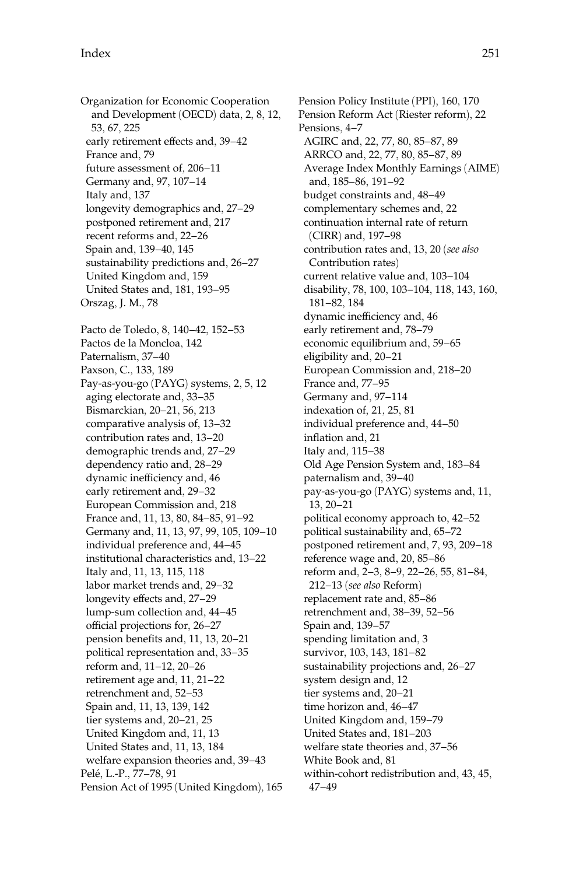Organization for Economic Cooperation and Development (OECD) data, 2, 8, 12, 53, 67, 225 early retirement effects and, 39–42 France and, 79 future assessment of, 206–11 Germany and, 97, 107–14 Italy and, 137 longevity demographics and, 27–29 postponed retirement and, 217 recent reforms and, 22–26 Spain and, 139–40, 145 sustainability predictions and, 26–27 United Kingdom and, 159 United States and, 181, 193–95 Orszag, J. M., 78 Pacto de Toledo, 8, 140–42, 152–53 Pactos de la Moncloa, 142 Paternalism, 37–40 Paxson, C., 133, 189 Pay-as-you-go (PAYG) systems, 2, 5, 12 aging electorate and, 33–35 Bismarckian, 20–21, 56, 213 comparative analysis of, 13–32 contribution rates and, 13–20 demographic trends and, 27–29 dependency ratio and, 28–29 dynamic inefficiency and, 46 early retirement and, 29–32 European Commission and, 218 France and, 11, 13, 80, 84–85, 91–92 Germany and, 11, 13, 97, 99, 105, 109–10 individual preference and, 44–45 institutional characteristics and, 13–22 Italy and, 11, 13, 115, 118 labor market trends and, 29–32 longevity effects and, 27–29 lump-sum collection and, 44–45 official projections for, 26–27 pension benefits and, 11, 13, 20–21 political representation and, 33–35 reform and, 11–12, 20–26 retirement age and, 11, 21–22 retrenchment and, 52–53 Spain and, 11, 13, 139, 142 tier systems and, 20–21, 25 United Kingdom and, 11, 13 United States and, 11, 13, 184 welfare expansion theories and, 39–43 Pelé, L.-P., 77-78, 91 Pension Act of 1995 (United Kingdom), 165

Pension Policy Institute (PPI), 160, 170 Pension Reform Act (Riester reform), 22 Pensions, 4–7 AGIRC and, 22, 77, 80, 85–87, 89 ARRCO and, 22, 77, 80, 85–87, 89 Average Index Monthly Earnings (AIME) and, 185–86, 191–92 budget constraints and, 48–49 complementary schemes and, 22 continuation internal rate of return (CIRR) and, 197–98 contribution rates and, 13, 20 (see also Contribution rates) current relative value and, 103–104 disability, 78, 100, 103–104, 118, 143, 160, 181–82, 184 dynamic inefficiency and, 46 early retirement and, 78–79 economic equilibrium and, 59–65 eligibility and, 20–21 European Commission and, 218–20 France and, 77–95 Germany and, 97–114 indexation of, 21, 25, 81 individual preference and, 44–50 inflation and, 21 Italy and, 115–38 Old Age Pension System and, 183–84 paternalism and, 39–40 pay-as-you-go (PAYG) systems and, 11, 13, 20–21 political economy approach to, 42–52 political sustainability and, 65–72 postponed retirement and, 7, 93, 209–18 reference wage and, 20, 85–86 reform and, 2–3, 8–9, 22–26, 55, 81–84, 212–13 (see also Reform) replacement rate and, 85–86 retrenchment and, 38–39, 52–56 Spain and, 139–57 spending limitation and, 3 survivor, 103, 143, 181–82 sustainability projections and, 26–27 system design and, 12 tier systems and, 20–21 time horizon and, 46–47 United Kingdom and, 159–79 United States and, 181–203 welfare state theories and, 37–56 White Book and, 81 within-cohort redistribution and, 43, 45, 47–49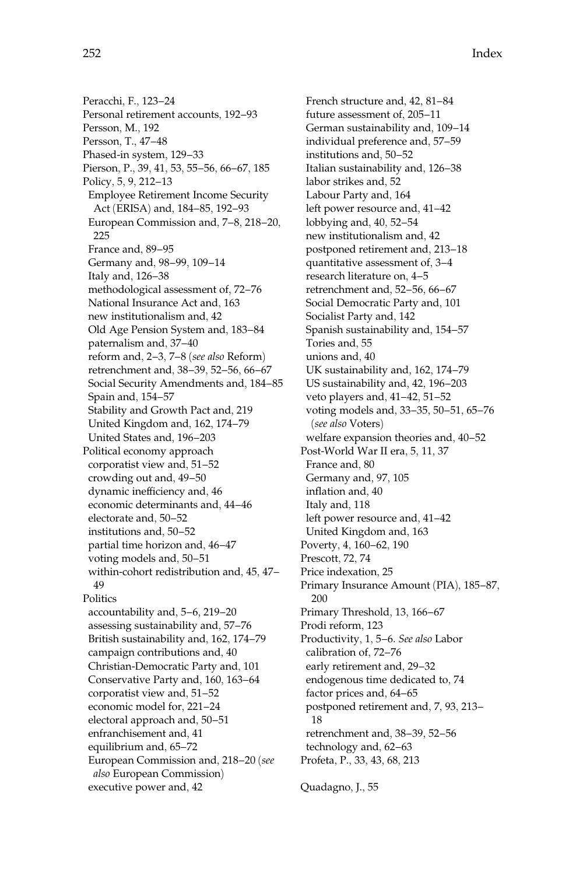Peracchi, F., 123–24 Personal retirement accounts, 192–93 Persson, M., 192 Persson, T., 47–48 Phased-in system, 129–33 Pierson, P., 39, 41, 53, 55–56, 66–67, 185 Policy, 5, 9, 212–13 Employee Retirement Income Security Act (ERISA) and, 184–85, 192–93 European Commission and, 7–8, 218–20, 225 France and, 89–95 Germany and, 98–99, 109–14 Italy and, 126–38 methodological assessment of, 72–76 National Insurance Act and, 163 new institutionalism and, 42 Old Age Pension System and, 183–84 paternalism and, 37–40 reform and, 2–3, 7–8 (see also Reform) retrenchment and, 38–39, 52–56, 66–67 Social Security Amendments and, 184–85 Spain and, 154–57 Stability and Growth Pact and, 219 United Kingdom and, 162, 174–79 United States and, 196–203 Political economy approach corporatist view and, 51–52 crowding out and, 49–50 dynamic inefficiency and, 46 economic determinants and, 44–46 electorate and, 50–52 institutions and, 50–52 partial time horizon and, 46–47 voting models and, 50–51 within-cohort redistribution and, 45, 47– 49 **Politics** accountability and, 5–6, 219–20 assessing sustainability and, 57–76 British sustainability and, 162, 174–79 campaign contributions and, 40 Christian-Democratic Party and, 101 Conservative Party and, 160, 163–64 corporatist view and, 51–52 economic model for, 221–24 electoral approach and, 50–51 enfranchisement and, 41 equilibrium and, 65–72 European Commission and, 218–20 (see also European Commission)

executive power and, 42

French structure and, 42, 81–84 future assessment of, 205–11 German sustainability and, 109–14 individual preference and, 57–59 institutions and, 50–52 Italian sustainability and, 126–38 labor strikes and, 52 Labour Party and, 164 left power resource and, 41–42 lobbying and, 40, 52–54 new institutionalism and, 42 postponed retirement and, 213–18 quantitative assessment of, 3–4 research literature on, 4–5 retrenchment and, 52–56, 66–67 Social Democratic Party and, 101 Socialist Party and, 142 Spanish sustainability and, 154–57 Tories and, 55 unions and, 40 UK sustainability and, 162, 174–79 US sustainability and, 42, 196–203 veto players and, 41–42, 51–52 voting models and, 33–35, 50–51, 65–76 (see also Voters) welfare expansion theories and, 40–52 Post-World War II era, 5, 11, 37 France and, 80 Germany and, 97, 105 inflation and, 40 Italy and, 118 left power resource and, 41–42 United Kingdom and, 163 Poverty, 4, 160–62, 190 Prescott, 72, 74 Price indexation, 25 Primary Insurance Amount (PIA), 185–87, 200 Primary Threshold, 13, 166–67 Prodi reform, 123 Productivity, 1, 5–6. See also Labor calibration of, 72–76 early retirement and, 29–32 endogenous time dedicated to, 74 factor prices and, 64–65 postponed retirement and, 7, 93, 213– 18 retrenchment and, 38–39, 52–56 technology and, 62–63 Profeta, P., 33, 43, 68, 213 Quadagno, J., 55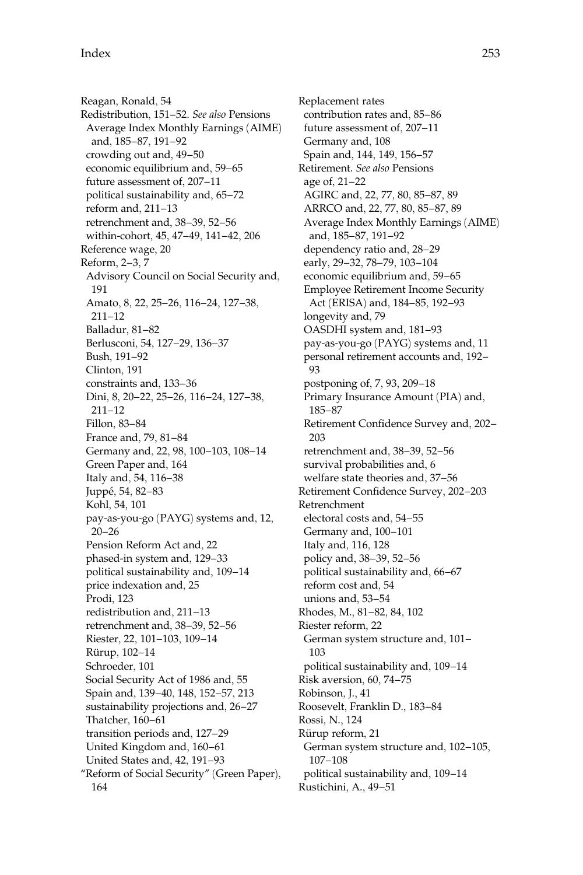Reagan, Ronald, 54 Redistribution, 151–52. See also Pensions Average Index Monthly Earnings (AIME) and, 185–87, 191–92 crowding out and, 49–50 economic equilibrium and, 59–65 future assessment of, 207–11 political sustainability and, 65–72 reform and, 211–13 retrenchment and, 38–39, 52–56 within-cohort, 45, 47–49, 141–42, 206 Reference wage, 20 Reform, 2–3, 7 Advisory Council on Social Security and, 191 Amato, 8, 22, 25–26, 116–24, 127–38, 211–12 Balladur, 81–82 Berlusconi, 54, 127–29, 136–37 Bush, 191–92 Clinton, 191 constraints and, 133–36 Dini, 8, 20–22, 25–26, 116–24, 127–38, 211–12 Fillon, 83–84 France and, 79, 81–84 Germany and, 22, 98, 100–103, 108–14 Green Paper and, 164 Italy and, 54, 116–38 Juppé, 54, 82-83 Kohl, 54, 101 pay-as-you-go (PAYG) systems and, 12, 20–26 Pension Reform Act and, 22 phased-in system and, 129–33 political sustainability and, 109–14 price indexation and, 25 Prodi, 123 redistribution and, 211–13 retrenchment and, 38–39, 52–56 Riester, 22, 101–103, 109–14 Rürup, 102-14 Schroeder, 101 Social Security Act of 1986 and, 55 Spain and, 139–40, 148, 152–57, 213 sustainability projections and, 26–27 Thatcher, 160–61 transition periods and, 127–29 United Kingdom and, 160–61 United States and, 42, 191–93 ''Reform of Social Security'' (Green Paper), 164

Replacement rates contribution rates and, 85–86 future assessment of, 207–11 Germany and, 108 Spain and, 144, 149, 156–57 Retirement. See also Pensions age of, 21–22 AGIRC and, 22, 77, 80, 85–87, 89 ARRCO and, 22, 77, 80, 85–87, 89 Average Index Monthly Earnings (AIME) and, 185–87, 191–92 dependency ratio and, 28–29 early, 29–32, 78–79, 103–104 economic equilibrium and, 59–65 Employee Retirement Income Security Act (ERISA) and, 184–85, 192–93 longevity and, 79 OASDHI system and, 181–93 pay-as-you-go (PAYG) systems and, 11 personal retirement accounts and, 192– 93 postponing of, 7, 93, 209–18 Primary Insurance Amount (PIA) and, 185–87 Retirement Confidence Survey and, 202– 203 retrenchment and, 38–39, 52–56 survival probabilities and, 6 welfare state theories and, 37–56 Retirement Confidence Survey, 202–203 Retrenchment electoral costs and, 54–55 Germany and, 100–101 Italy and, 116, 128 policy and, 38–39, 52–56 political sustainability and, 66–67 reform cost and, 54 unions and, 53–54 Rhodes, M., 81–82, 84, 102 Riester reform, 22 German system structure and, 101– 103 political sustainability and, 109–14 Risk aversion, 60, 74–75 Robinson, J., 41 Roosevelt, Franklin D., 183–84 Rossi, N., 124 Rürup reform, 21 German system structure and, 102–105, 107–108 political sustainability and, 109–14 Rustichini, A., 49–51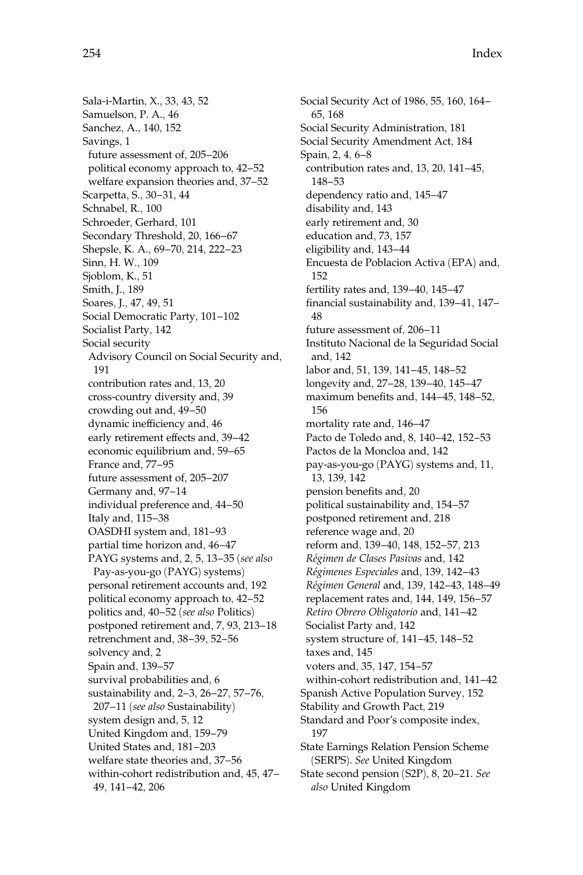Sala-i-Martin, X., 33, 43, 52 Samuelson, P. A., 46 Sanchez, A., 140, 152 Savings, 1 future assessment of, 205–206 political economy approach to, 42–52 welfare expansion theories and, 37–52 Scarpetta, S., 30–31, 44 Schnabel, R., 100 Schroeder, Gerhard, 101 Secondary Threshold, 20, 166–67 Shepsle, K. A., 69–70, 214, 222–23 Sinn, H. W., 109 Sjoblom, K., 51 Smith, J., 189 Soares, J., 47, 49, 51 Social Democratic Party, 101–102 Socialist Party, 142 Social security Advisory Council on Social Security and, 191 contribution rates and, 13, 20 cross-country diversity and, 39 crowding out and, 49–50 dynamic inefficiency and, 46 early retirement effects and, 39–42 economic equilibrium and, 59–65 France and, 77–95 future assessment of, 205–207 Germany and, 97–14 individual preference and, 44–50 Italy and, 115–38 OASDHI system and, 181–93 partial time horizon and, 46–47 PAYG systems and, 2, 5, 13–35 (see also Pay-as-you-go (PAYG) systems) personal retirement accounts and, 192 political economy approach to, 42–52 politics and, 40–52 (see also Politics) postponed retirement and, 7, 93, 213–18 retrenchment and, 38–39, 52–56 solvency and, 2 Spain and, 139–57 survival probabilities and, 6 sustainability and, 2–3, 26–27, 57–76, 207–11 (see also Sustainability) system design and, 5, 12 United Kingdom and, 159–79 United States and, 181–203 welfare state theories and, 37–56 within-cohort redistribution and, 45, 47– 49, 141–42, 206

Social Security Act of 1986, 55, 160, 164– 65, 168 Social Security Administration, 181 Social Security Amendment Act, 184 Spain, 2, 4, 6–8 contribution rates and, 13, 20, 141–45, 148–53 dependency ratio and, 145–47 disability and, 143 early retirement and, 30 education and, 73, 157 eligibility and, 143–44 Encuesta de Poblacion Activa (EPA) and, 152 fertility rates and, 139–40, 145–47 financial sustainability and, 139–41, 147– 48 future assessment of, 206–11 Instituto Nacional de la Seguridad Social and, 142 labor and, 51, 139, 141–45, 148–52 longevity and, 27–28, 139–40, 145–47 maximum benefits and, 144–45, 148–52, 156 mortality rate and, 146–47 Pacto de Toledo and, 8, 140–42, 152–53 Pactos de la Moncloa and, 142 pay-as-you-go (PAYG) systems and, 11, 13, 139, 142 pension benefits and, 20 political sustainability and, 154–57 postponed retirement and, 218 reference wage and, 20 reform and, 139–40, 148, 152–57, 213 Régimen de Clases Pasivas and, 142 Régimenes Especiales and, 139, 142-43 Régimen General and, 139, 142–43, 148–49 replacement rates and, 144, 149, 156–57 Retiro Obrero Obligatorio and, 141–42 Socialist Party and, 142 system structure of, 141–45, 148–52 taxes and, 145 voters and, 35, 147, 154–57 within-cohort redistribution and, 141–42 Spanish Active Population Survey, 152 Stability and Growth Pact, 219 Standard and Poor's composite index, 197 State Earnings Relation Pension Scheme (SERPS). See United Kingdom State second pension (S2P), 8, 20–21. See also United Kingdom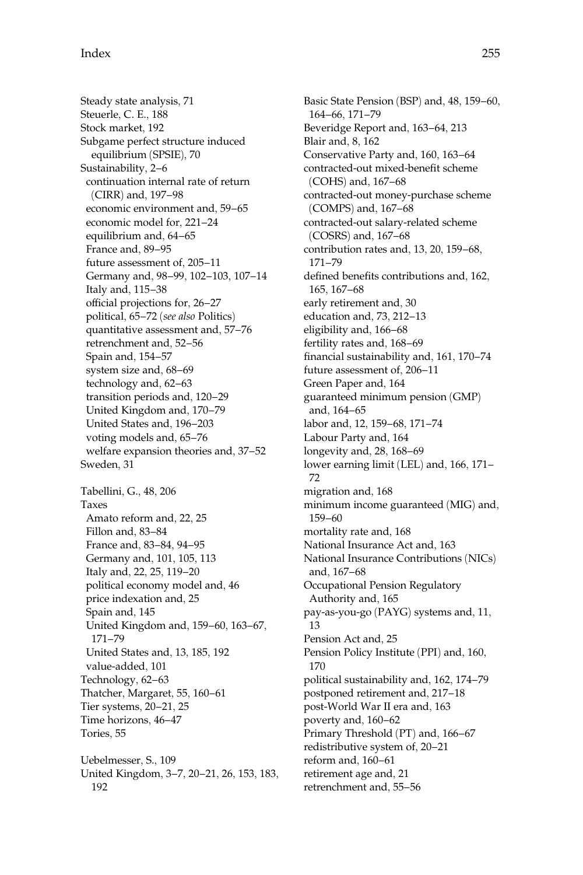Steady state analysis, 71 Steuerle, C. E., 188 Stock market, 192 Subgame perfect structure induced equilibrium (SPSIE), 70 Sustainability, 2–6 continuation internal rate of return (CIRR) and, 197–98 economic environment and, 59–65 economic model for, 221–24 equilibrium and, 64–65 France and, 89–95 future assessment of, 205–11 Germany and, 98–99, 102–103, 107–14 Italy and, 115–38 official projections for, 26–27 political, 65–72 (see also Politics) quantitative assessment and, 57–76 retrenchment and, 52–56 Spain and, 154–57 system size and, 68–69 technology and, 62–63 transition periods and, 120–29 United Kingdom and, 170–79 United States and, 196–203 voting models and, 65–76 welfare expansion theories and, 37–52 Sweden, 31 Tabellini, G., 48, 206 Taxes Amato reform and, 22, 25 Fillon and, 83–84 France and, 83–84, 94–95 Germany and, 101, 105, 113 Italy and, 22, 25, 119–20 political economy model and, 46 price indexation and, 25 Spain and, 145 United Kingdom and, 159–60, 163–67, 171–79 United States and, 13, 185, 192 value-added, 101 Technology, 62–63 Thatcher, Margaret, 55, 160–61 Tier systems, 20–21, 25 Time horizons, 46–47 Tories, 55 Uebelmesser, S., 109 United Kingdom, 3–7, 20–21, 26, 153, 183, 192

Basic State Pension (BSP) and, 48, 159–60, 164–66, 171–79 Beveridge Report and, 163–64, 213 Blair and, 8, 162 Conservative Party and, 160, 163–64 contracted-out mixed-benefit scheme (COHS) and, 167–68 contracted-out money-purchase scheme (COMPS) and, 167–68 contracted-out salary-related scheme (COSRS) and, 167–68 contribution rates and, 13, 20, 159–68, 171–79 defined benefits contributions and, 162, 165, 167–68 early retirement and, 30 education and, 73, 212–13 eligibility and, 166–68 fertility rates and, 168–69 financial sustainability and, 161, 170–74 future assessment of, 206–11 Green Paper and, 164 guaranteed minimum pension (GMP) and, 164–65 labor and, 12, 159–68, 171–74 Labour Party and, 164 longevity and, 28, 168–69 lower earning limit (LEL) and, 166, 171– 72 migration and, 168 minimum income guaranteed (MIG) and, 159–60 mortality rate and, 168 National Insurance Act and, 163 National Insurance Contributions (NICs) and, 167–68 Occupational Pension Regulatory Authority and, 165 pay-as-you-go (PAYG) systems and, 11, 13 Pension Act and, 25 Pension Policy Institute (PPI) and, 160, 170 political sustainability and, 162, 174–79 postponed retirement and, 217–18 post-World War II era and, 163 poverty and, 160–62 Primary Threshold (PT) and, 166–67 redistributive system of, 20–21 reform and, 160–61 retirement age and, 21 retrenchment and, 55–56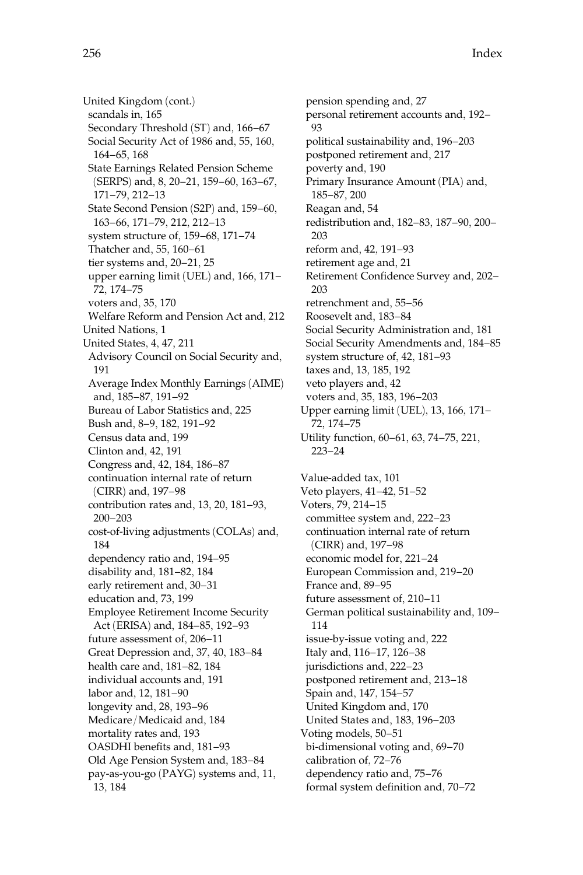United Kingdom (cont.) scandals in, 165 Secondary Threshold (ST) and, 166–67 Social Security Act of 1986 and, 55, 160, 164–65, 168 State Earnings Related Pension Scheme (SERPS) and, 8, 20–21, 159–60, 163–67, 171–79, 212–13 State Second Pension (S2P) and, 159–60, 163–66, 171–79, 212, 212–13 system structure of, 159–68, 171–74 Thatcher and, 55, 160–61 tier systems and, 20–21, 25 upper earning limit (UEL) and, 166, 171– 72, 174–75 voters and, 35, 170 Welfare Reform and Pension Act and, 212 United Nations, 1 United States, 4, 47, 211 Advisory Council on Social Security and, 191 Average Index Monthly Earnings (AIME) and, 185–87, 191–92 Bureau of Labor Statistics and, 225 Bush and, 8–9, 182, 191–92 Census data and, 199 Clinton and, 42, 191 Congress and, 42, 184, 186–87 continuation internal rate of return (CIRR) and, 197–98 contribution rates and, 13, 20, 181–93, 200–203 cost-of-living adjustments (COLAs) and, 184 dependency ratio and, 194–95 disability and, 181–82, 184 early retirement and, 30–31 education and, 73, 199 Employee Retirement Income Security Act (ERISA) and, 184–85, 192–93 future assessment of, 206–11 Great Depression and, 37, 40, 183–84 health care and, 181–82, 184 individual accounts and, 191 labor and, 12, 181–90 longevity and, 28, 193–96 Medicare/Medicaid and, 184 mortality rates and, 193 OASDHI benefits and, 181–93 Old Age Pension System and, 183–84 pay-as-you-go (PAYG) systems and, 11, 13, 184

pension spending and, 27 personal retirement accounts and, 192– 93 political sustainability and, 196–203 postponed retirement and, 217 poverty and, 190 Primary Insurance Amount (PIA) and, 185–87, 200 Reagan and, 54 redistribution and, 182–83, 187–90, 200– 203 reform and, 42, 191–93 retirement age and, 21 Retirement Confidence Survey and, 202– 203 retrenchment and, 55–56 Roosevelt and, 183–84 Social Security Administration and, 181 Social Security Amendments and, 184–85 system structure of, 42, 181–93 taxes and, 13, 185, 192 veto players and, 42 voters and, 35, 183, 196–203 Upper earning limit (UEL), 13, 166, 171– 72, 174–75 Utility function, 60–61, 63, 74–75, 221, 223–24 Value-added tax, 101 Veto players, 41–42, 51–52 Voters, 79, 214–15 committee system and, 222–23 continuation internal rate of return (CIRR) and, 197–98 economic model for, 221–24 European Commission and, 219–20 France and, 89–95 future assessment of, 210–11 German political sustainability and, 109– 114 issue-by-issue voting and, 222 Italy and, 116–17, 126–38 jurisdictions and, 222–23 postponed retirement and, 213–18 Spain and, 147, 154–57 United Kingdom and, 170 United States and, 183, 196–203 Voting models, 50–51 bi-dimensional voting and, 69–70 calibration of, 72–76 dependency ratio and, 75–76 formal system definition and, 70–72